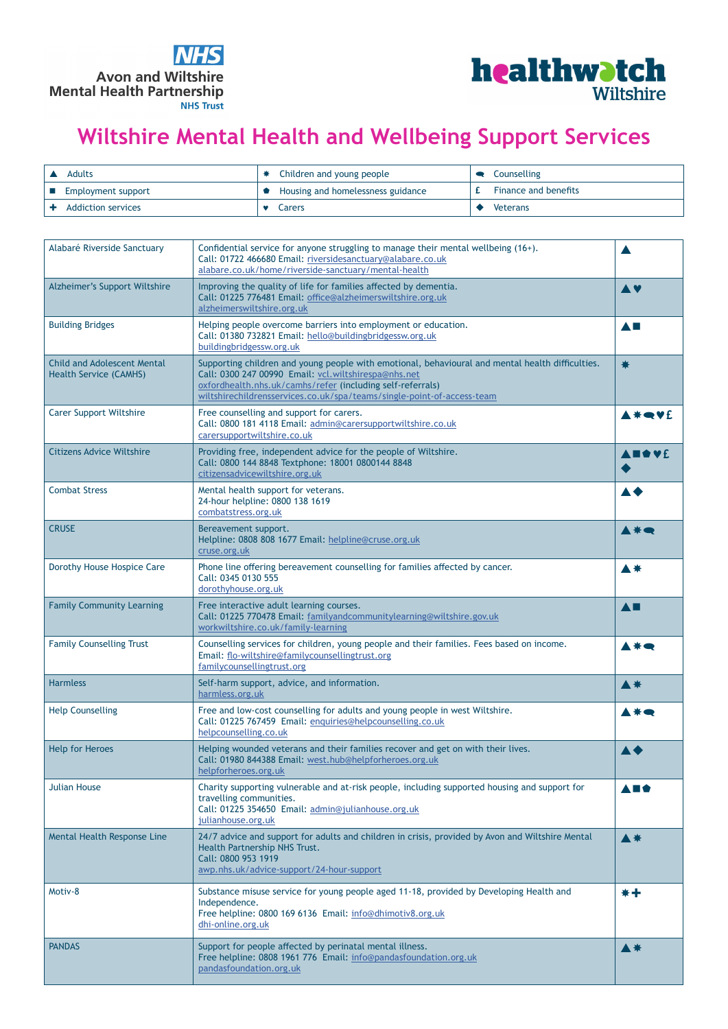



## **Wiltshire Mental Health and Wellbeing Support Services**

| Adults                    | * Children and young people         | • Counselling        |
|---------------------------|-------------------------------------|----------------------|
| Employment support        | • Housing and homelessness guidance | Finance and benefits |
| <b>Addiction services</b> | Carers                              | Veterans             |

| Alabaré Riverside Sanctuary                                         | Confidential service for anyone struggling to manage their mental wellbeing (16+).<br>Call: 01722 466680 Email: riversidesanctuary@alabare.co.uk<br>alabare.co.uk/home/riverside-sanctuary/mental-health                                                                                         |                 |
|---------------------------------------------------------------------|--------------------------------------------------------------------------------------------------------------------------------------------------------------------------------------------------------------------------------------------------------------------------------------------------|-----------------|
| Alzheimer's Support Wiltshire                                       | Improving the quality of life for families affected by dementia.<br>Call: 01225 776481 Email: office@alzheimerswiltshire.org.uk<br>alzheimerswiltshire.org.uk                                                                                                                                    | A V             |
| <b>Building Bridges</b>                                             | Helping people overcome barriers into employment or education.<br>Call: 01380 732821 Email: hello@buildingbridgessw.org.uk<br>buildingbridgessw.org.uk                                                                                                                                           | <b>AL</b>       |
| <b>Child and Adolescent Mental</b><br><b>Health Service (CAMHS)</b> | Supporting children and young people with emotional, behavioural and mental health difficulties.<br>Call: 0300 247 00990 Email: vcl.wiltshirespa@nhs.net<br>oxfordhealth.nhs.uk/camhs/refer (including self-referrals)<br>wiltshirechildrensservices.co.uk/spa/teams/single-point-of-access-team | ₩               |
| <b>Carer Support Wiltshire</b>                                      | Free counselling and support for carers.<br>Call: 0800 181 4118 Email: admin@carersupportwiltshire.co.uk<br>carersupportwiltshire.co.uk                                                                                                                                                          | <b>A *● ¥</b> £ |
| <b>Citizens Advice Wiltshire</b>                                    | Providing free, independent advice for the people of Wiltshire.<br>Call: 0800 144 8848 Textphone: 18001 0800144 8848<br>citizensadvicewiltshire.org.uk                                                                                                                                           | A BO VE         |
| <b>Combat Stress</b>                                                | Mental health support for veterans.<br>24-hour helpline: 0800 138 1619<br>combatstress.org.uk                                                                                                                                                                                                    |                 |
| <b>CRUSE</b>                                                        | Bereavement support.<br>Helpline: 0808 808 1677 Email: helpline@cruse.org.uk<br>cruse.org.uk                                                                                                                                                                                                     | ▲ $*$           |
| Dorothy House Hospice Care                                          | Phone line offering bereavement counselling for families affected by cancer.<br>Call: 0345 0130 555<br>dorothyhouse.org.uk                                                                                                                                                                       | ▲ 兼             |
| <b>Family Community Learning</b>                                    | Free interactive adult learning courses.<br>Call: 01225 770478 Email: familyandcommunitylearning@wiltshire.gov.uk<br>workwiltshire.co.uk/family-learning                                                                                                                                         | <b>A</b>        |
| <b>Family Counselling Trust</b>                                     | Counselling services for children, young people and their families. Fees based on income.<br>Email: flo-wiltshire@familycounsellingtrust.org<br>familycounsellingtrust.org                                                                                                                       |                 |
| <b>Harmless</b>                                                     | Self-harm support, advice, and information.<br>harmless.org.uk                                                                                                                                                                                                                                   | ▲ $*$           |
| <b>Help Counselling</b>                                             | Free and low-cost counselling for adults and young people in west Wiltshire.<br>Call: 01225 767459 Email: enguiries@helpcounselling.co.uk<br>helpcounselling.co.uk                                                                                                                               |                 |
| <b>Help for Heroes</b>                                              | Helping wounded veterans and their families recover and get on with their lives.<br>Call: 01980 844388 Email: west.hub@helpforheroes.org.uk<br>helpforheroes.org.uk                                                                                                                              |                 |
| <b>Julian House</b>                                                 | Charity supporting vulnerable and at-risk people, including supported housing and support for<br>travelling communities.<br>Call: 01225 354650 Email: admin@julianhouse.org.uk<br>julianhouse.org.uk                                                                                             | A E O           |
| Mental Health Response Line                                         | 24/7 advice and support for adults and children in crisis, provided by Avon and Wiltshire Mental<br>Health Partnership NHS Trust.<br>Call: 0800 953 1919<br>awp.nhs.uk/advice-support/24-hour-support                                                                                            | ▲ $*$           |
| Motiv-8                                                             | Substance misuse service for young people aged 11-18, provided by Developing Health and<br>Independence.<br>Free helpline: 0800 169 6136 Email: info@dhimotiv8.org.uk<br>dhi-online.org.uk                                                                                                       | *+              |
| <b>PANDAS</b>                                                       | Support for people affected by perinatal mental illness.<br>Free helpline: 0808 1961 776 Email: info@pandasfoundation.org.uk<br>pandasfoundation.org.uk                                                                                                                                          | <b>▲ 米</b>      |